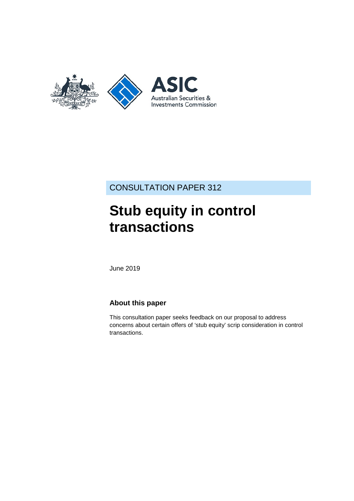

CONSULTATION PAPER 312

# **Stub equity in control transactions**

June 2019

### **About this paper**

This consultation paper seeks feedback on our proposal to address concerns about certain offers of 'stub equity' scrip consideration in control transactions.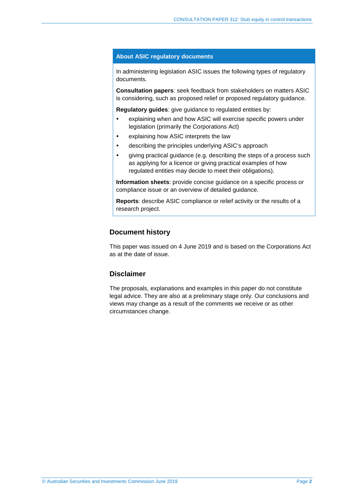#### **About ASIC regulatory documents**

In administering legislation ASIC issues the following types of regulatory documents.

**Consultation papers**: seek feedback from stakeholders on matters ASIC is considering, such as proposed relief or proposed regulatory guidance.

**Regulatory guides**: give guidance to regulated entities by:

- explaining when and how ASIC will exercise specific powers under legislation (primarily the Corporations Act)
- explaining how ASIC interprets the law
- describing the principles underlying ASIC's approach
- giving practical guidance (e.g. describing the steps of a process such as applying for a licence or giving practical examples of how regulated entities may decide to meet their obligations).

**Information sheets**: provide concise guidance on a specific process or compliance issue or an overview of detailed guidance.

**Reports**: describe ASIC compliance or relief activity or the results of a research project.

#### **Document history**

This paper was issued on 4 June 2019 and is based on the Corporations Act as at the date of issue.

#### **Disclaimer**

The proposals, explanations and examples in this paper do not constitute legal advice. They are also at a preliminary stage only. Our conclusions and views may change as a result of the comments we receive or as other circumstances change.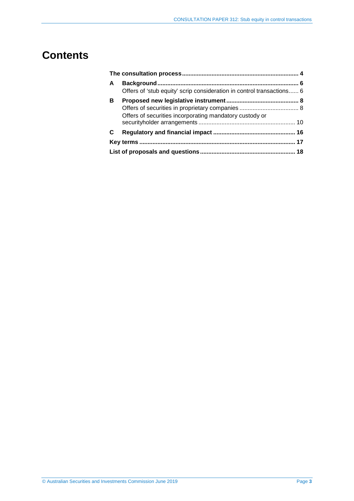## **Contents**

| A | Offers of 'stub equity' scrip consideration in control transactions 6 |  |  |  |
|---|-----------------------------------------------------------------------|--|--|--|
| В | Offers of securities incorporating mandatory custody or               |  |  |  |
|   |                                                                       |  |  |  |
|   |                                                                       |  |  |  |
|   |                                                                       |  |  |  |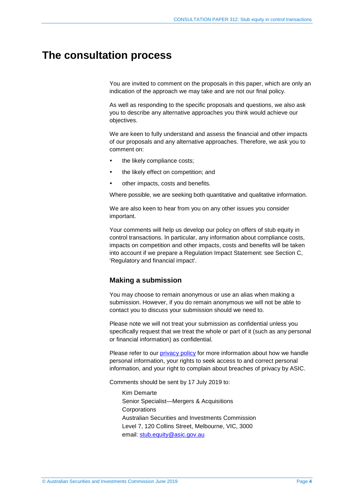### <span id="page-3-1"></span><span id="page-3-0"></span>**The consultation process**

You are invited to comment on the proposals in this paper, which are only an indication of the approach we may take and are not our final policy.

As well as responding to the specific proposals and questions, we also ask you to describe any alternative approaches you think would achieve our objectives.

We are keen to fully understand and assess the financial and other impacts of our proposals and any alternative approaches. Therefore, we ask you to comment on:

- the likely compliance costs;
- the likely effect on competition; and
- other impacts, costs and benefits.

Where possible, we are seeking both quantitative and qualitative information.

We are also keen to hear from you on any other issues you consider important.

Your comments will help us develop our policy on offers of stub equity in control transactions. In particular, any information about compliance costs, impacts on competition and other impacts, costs and benefits will be taken into account if we prepare a Regulation Impact Statement: see Section [C,](#page-15-0) 'Regulatory and financial impact'.

#### **Making a submission**

You may choose to remain anonymous or use an alias when making a submission. However, if you do remain anonymous we will not be able to contact you to discuss your submission should we need to.

Please note we will not treat your submission as confidential unless you specifically request that we treat the whole or part of it (such as any personal or financial information) as confidential.

Please refer to our [privacy policy](http://www.asic.gov.au/privacy) for more information about how we handle personal information, your rights to seek access to and correct personal information, and your right to complain about breaches of privacy by ASIC.

Comments should be sent by 17 July 2019 to:

Kim Demarte Senior Specialist—Mergers & Acquisitions **Corporations** Australian Securities and Investments Commission Level 7, 120 Collins Street, Melbourne, VIC, 3000 email: [stub.equity@asic.gov.au](mailto:stub.equity@asic.gov.au)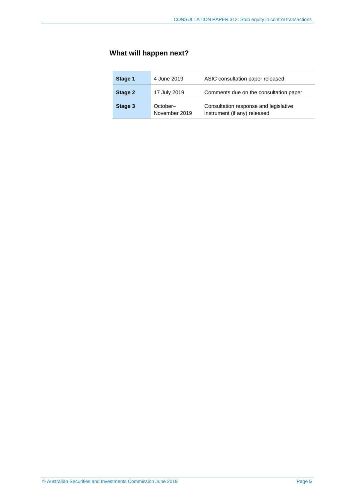### **What will happen next?**

| Stage 1 | 4 June 2019               | ASIC consultation paper released                                      |  |  |
|---------|---------------------------|-----------------------------------------------------------------------|--|--|
| Stage 2 | 17 July 2019              | Comments due on the consultation paper                                |  |  |
| Stage 3 | October-<br>November 2019 | Consultation response and legislative<br>instrument (if any) released |  |  |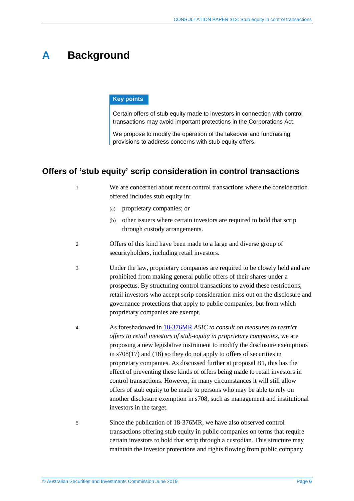## <span id="page-5-0"></span>**A Background**

#### **Key points**

Certain offers of stub equity made to investors in connection with control transactions may avoid important protections in the Corporations Act.

We propose to modify the operation of the takeover and fundraising provisions to address concerns with stub equity offers.

### <span id="page-5-1"></span>**Offers of 'stub equity' scrip consideration in control transactions**

- 1 We are concerned about recent control transactions where the consideration offered includes stub equity in:
	- (a) proprietary companies; or
	- (b) other issuers where certain investors are required to hold that scrip through custody arrangements.
- 2 Offers of this kind have been made to a large and diverse group of securityholders, including retail investors.
- <span id="page-5-2"></span>3 Under the law, proprietary companies are required to be closely held and are prohibited from making general public offers of their shares under a prospectus. By structuring control transactions to avoid these restrictions, retail investors who accept scrip consideration miss out on the disclosure and governance protections that apply to public companies, but from which proprietary companies are exempt.
- 4 As foreshadowed in [18-376MR](https://asic.gov.au/about-asic/news-centre/find-a-media-release/2018-releases/18-376mr-asic-to-consult-on-measures-to-restrict-offers-to-retail-investors-of-stub-equity-in-proprietary-companies/) *ASIC to consult on measures to restrict offers to retail investors of stub-equity in proprietary companies*, we are proposing a new legislative instrument to modify the disclosure exemptions in s708(17) and (18) so they do not apply to offers of securities in proprietary companies. As discussed further at proposal [B1,](#page-7-2) this has the effect of preventing these kinds of offers being made to retail investors in control transactions. However, in many circumstances it will still allow offers of stub equity to be made to persons who may be able to rely on another disclosure exemption in s708, such as management and institutional investors in the target.
- 5 Since the publication of 18-376MR, we have also observed control transactions offering stub equity in public companies on terms that require certain investors to hold that scrip through a custodian. This structure may maintain the investor protections and rights flowing from public company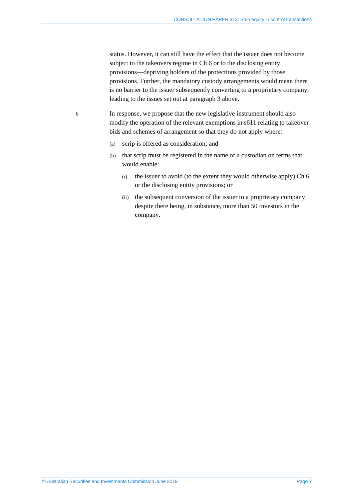status. However, it can still have the effect that the issuer does not become subject to the takeovers regime in Ch 6 or to the disclosing entity provisions—depriving holders of the protections provided by those provisions. Further, the mandatory custody arrangements would mean there is no barrier to the issuer subsequently converting to a proprietary company, leading to the issues set out at paragraph [3](#page-5-2) above.

6 In response, we propose that the new legislative instrument should also modify the operation of the relevant exemptions in s611 relating to takeover bids and schemes of arrangement so that they do not apply where:

- (a) scrip is offered as consideration; and
- (b) that scrip must be registered in the name of a custodian on terms that would enable:
	- (i) the issuer to avoid (to the extent they would otherwise apply) Ch 6 or the disclosing entity provisions; or
	- (ii) the subsequent conversion of the issuer to a proprietary company despite there being, in substance, more than 50 investors in the company.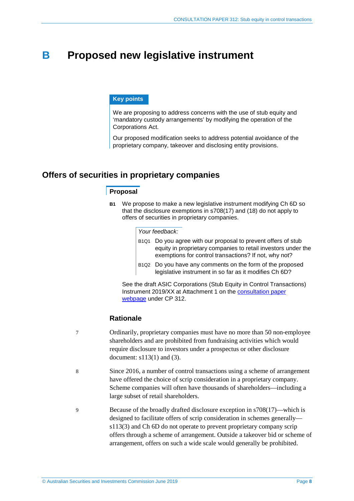### <span id="page-7-0"></span>**B Proposed new legislative instrument**

#### **Key points**

We are proposing to address concerns with the use of stub equity and 'mandatory custody arrangements' by modifying the operation of the Corporations Act.

Our proposed modification seeks to address potential avoidance of the proprietary company, takeover and disclosing entity provisions.

### <span id="page-7-2"></span><span id="page-7-1"></span>**Offers of securities in proprietary companies**

#### **Proposal**

**B1** We propose to make a new legislative instrument modifying Ch 6D so that the disclosure exemptions in s708(17) and (18) do not apply to offers of securities in proprietary companies.

#### *Your feedback:*

- B1Q1 Do you agree with our proposal to prevent offers of stub equity in proprietary companies to retail investors under the exemptions for control transactions? If not, why not?
- B1Q2 Do you have any comments on the form of the proposed legislative instrument in so far as it modifies Ch 6D?

See the draft ASIC Corporations (Stub Equity in Control Transactions) Instrument 2019/XX at Attachment 1 on the [consultation paper](https://asic.gov.au/cp)  [webpage](https://asic.gov.au/cp) under CP 312.

#### **Rationale**

- 7 Ordinarily, proprietary companies must have no more than 50 non-employee shareholders and are prohibited from fundraising activities which would require disclosure to investors under a prospectus or other disclosure document: s113(1) and (3).
- <span id="page-7-3"></span>8 Since 2016, a number of control transactions using a scheme of arrangement have offered the choice of scrip consideration in a proprietary company. Scheme companies will often have thousands of shareholders—including a large subset of retail shareholders.
- 9 Because of the broadly drafted disclosure exception in s708(17)—which is designed to facilitate offers of scrip consideration in schemes generally s113(3) and Ch 6D do not operate to prevent proprietary company scrip offers through a scheme of arrangement. Outside a takeover bid or scheme of arrangement, offers on such a wide scale would generally be prohibited.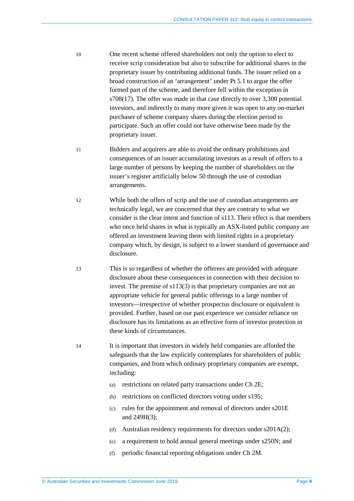- 10 One recent scheme offered shareholders not only the option to elect to receive scrip consideration but also to subscribe for additional shares in the proprietary issuer by contributing additional funds. The issuer relied on a broad construction of an 'arrangement' under Pt 5.1 to argue the offer formed part of the scheme, and therefore fell within the exception in s708(17). The offer was made in that case directly to over 3,300 potential investors, and indirectly to many more given it was open to any on-market purchaser of scheme company shares during the election period to participate. Such an offer could not have otherwise been made by the proprietary issuer.
- 11 Bidders and acquirers are able to avoid the ordinary prohibitions and consequences of an issuer accumulating investors as a result of offers to a large number of persons by keeping the number of shareholders on the issuer's register artificially below 50 through the use of custodian arrangements.
- 12 While both the offers of scrip and the use of custodian arrangements are technically legal, we are concerned that they are contrary to what we consider is the clear intent and function of s113. Their effect is that members who once held shares in what is typically an ASX-listed public company are offered an investment leaving them with limited rights in a proprietary company which, by design, is subject to a lower standard of governance and disclosure.
- 13 This is so regardless of whether the offerees are provided with adequate disclosure about these consequences in connection with their decision to invest. The premise of s113(3) is that proprietary companies are not an appropriate vehicle for general public offerings to a large number of investors—irrespective of whether prospectus disclosure or equivalent is provided. Further, based on our past experience we consider reliance on disclosure has its limitations as an effective form of investor protection in these kinds of circumstances.

14 It is important that investors in widely held companies are afforded the safeguards that the law explicitly contemplates for shareholders of public companies, and from which ordinary proprietary companies are exempt, including:

- (a) restrictions on related party transactions under Ch 2E;
- (b) restrictions on conflicted directors voting under s195;
- (c) rules for the appointment and removal of directors under s201E and 249H(3);
- (d) Australian residency requirements for directors under s201A(2);
- (e) a requirement to hold annual general meetings under s250N; and
- (f) periodic financial reporting obligations under Ch 2M.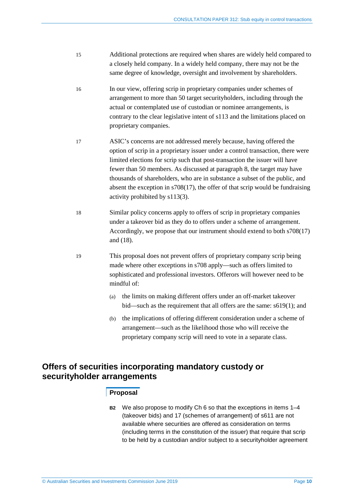- 15 Additional protections are required when shares are widely held compared to a closely held company. In a widely held company, there may not be the same degree of knowledge, oversight and involvement by shareholders.
- 16 In our view, offering scrip in proprietary companies under schemes of arrangement to more than 50 target securityholders, including through the actual or contemplated use of custodian or nominee arrangements, is contrary to the clear legislative intent of s113 and the limitations placed on proprietary companies.
- 17 ASIC's concerns are not addressed merely because, having offered the option of scrip in a proprietary issuer under a control transaction, there were limited elections for scrip such that post-transaction the issuer will have fewer than 50 members. As discussed at paragrap[h 8,](#page-7-3) the target may have thousands of shareholders, who are in substance a subset of the public, and absent the exception in s708(17), the offer of that scrip would be fundraising activity prohibited by s113(3).
- 18 Similar policy concerns apply to offers of scrip in proprietary companies under a takeover bid as they do to offers under a scheme of arrangement. Accordingly, we propose that our instrument should extend to both s708(17) and (18).
- 19 This proposal does not prevent offers of proprietary company scrip being made where other exceptions in s708 apply—such as offers limited to sophisticated and professional investors. Offerors will however need to be mindful of:
	- (a) the limits on making different offers under an off-market takeover bid—such as the requirement that all offers are the same: s619(1); and
	- (b) the implications of offering different consideration under a scheme of arrangement—such as the likelihood those who will receive the proprietary company scrip will need to vote in a separate class.

### <span id="page-9-0"></span>**Offers of securities incorporating mandatory custody or securityholder arrangements**

#### **Proposal**

**B2** We also propose to modify Ch 6 so that the exceptions in items 1–4 (takeover bids) and 17 (schemes of arrangement) of s611 are not available where securities are offered as consideration on terms (including terms in the constitution of the issuer) that require that scrip to be held by a custodian and/or subject to a securityholder agreement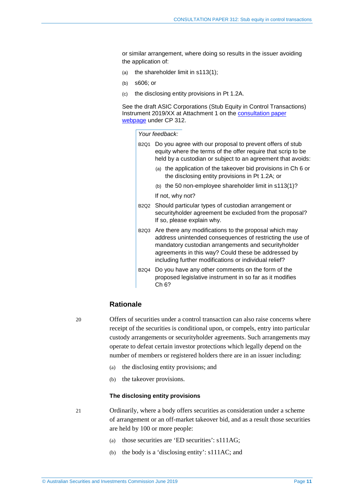or similar arrangement, where doing so results in the issuer avoiding the application of:

- (a) the shareholder limit in s113(1);
- (b) s606; or
- (c) the disclosing entity provisions in Pt 1.2A.

See the draft ASIC Corporations (Stub Equity in Control Transactions) Instrument 2019/XX at Attachment 1 on the [consultation paper](https://asic.gov.au/cp)  [webpage](https://asic.gov.au/cp) under CP 312.

*Your feedback:* 

- B2Q1 Do you agree with our proposal to prevent offers of stub equity where the terms of the offer require that scrip to be held by a custodian or subject to an agreement that avoids:
	- (a) the application of the takeover bid provisions in Ch 6 or the disclosing entity provisions in Pt 1.2A; or
	- (b) the 50 non-employee shareholder limit in s113(1)? If not, why not?
- B2Q2 Should particular types of custodian arrangement or securityholder agreement be excluded from the proposal? If so, please explain why.
- B2Q3 Are there any modifications to the proposal which may address unintended consequences of restricting the use of mandatory custodian arrangements and securityholder agreements in this way? Could these be addressed by including further modifications or individual relief?
- B2Q4 Do you have any other comments on the form of the proposed legislative instrument in so far as it modifies Ch 6?

#### **Rationale**

20 Offers of securities under a control transaction can also raise concerns where receipt of the securities is conditional upon, or compels, entry into particular custody arrangements or securityholder agreements. Such arrangements may operate to defeat certain investor protections which legally depend on the number of members or registered holders there are in an issuer including:

- (a) the disclosing entity provisions; and
- (b) the takeover provisions.

#### **The disclosing entity provisions**

21 Ordinarily, where a body offers securities as consideration under a scheme of arrangement or an off-market takeover bid, and as a result those securities are held by 100 or more people:

- (a) those securities are 'ED securities': s111AG;
- (b) the body is a 'disclosing entity': s111AC; and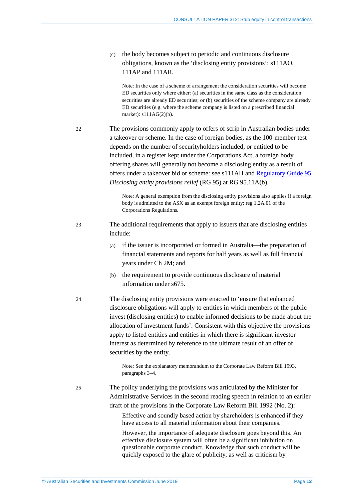(c) the body becomes subject to periodic and continuous disclosure obligations, known as the 'disclosing entity provisions': s111AO, 111AP and 111AR.

Note: In the case of a scheme of arrangement the consideration securities will become ED securities only where either: (a) securities in the same class as the consideration securities are already ED securities; or (b) securities of the scheme company are already ED securities (e.g. where the scheme company is listed on a prescribed financial market): s111AG(2)(b).

22 The provisions commonly apply to offers of scrip in Australian bodies under a takeover or scheme. In the case of foreign bodies, as the 100-member test depends on the number of securityholders included, or entitled to be included, in a register kept under the Corporations Act, a foreign body offering shares will generally not become a disclosing entity as a result of offers under a takeover bid or scheme: see s111AH and [Regulatory Guide 95](https://asic.gov.au/regulatory-resources/find-a-document/regulatory-guides/rg-95-disclosing-entity-provisions-relief/) *Disclosing entity provisions relief* (RG 95) at RG 95.11A(b).

> Note: A general exemption from the disclosing entity provisions also applies if a foreign body is admitted to the ASX as an exempt foreign entity: reg 1.2A.01 of the Corporations Regulations.

- 23 The additional requirements that apply to issuers that are disclosing entities include:
	- (a) if the issuer is incorporated or formed in Australia—the preparation of financial statements and reports for half years as well as full financial years under Ch 2M; and
	- (b) the requirement to provide continuous disclosure of material information under s675.
- 24 The disclosing entity provisions were enacted to 'ensure that enhanced disclosure obligations will apply to entities in which members of the public invest (disclosing entities) to enable informed decisions to be made about the allocation of investment funds'. Consistent with this objective the provisions apply to listed entities and entities in which there is significant investor interest as determined by reference to the ultimate result of an offer of securities by the entity.

Note: See the explanatory memorandum to the Corporate Law Reform Bill 1993, paragraphs 3–4.

25 The policy underlying the provisions was articulated by the Minister for Administrative Services in the second reading speech in relation to an earlier draft of the provisions in the Corporate Law Reform Bill 1992 (No. 2):

> Effective and soundly based action by shareholders is enhanced if they have access to all material information about their companies.

> However, the importance of adequate disclosure goes beyond this. An effective disclosure system will often be a significant inhibition on questionable corporate conduct. Knowledge that such conduct will be quickly exposed to the glare of publicity, as well as criticism by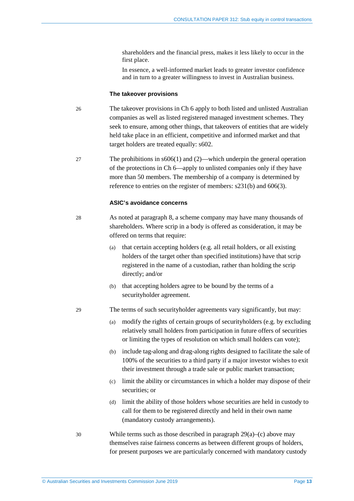shareholders and the financial press, makes it less likely to occur in the first place.

In essence, a well-informed market leads to greater investor confidence and in turn to a greater willingness to invest in Australian business.

#### **The takeover provisions**

- 26 The takeover provisions in Ch 6 apply to both listed and unlisted Australian companies as well as listed registered managed investment schemes. They seek to ensure, among other things, that takeovers of entities that are widely held take place in an efficient, competitive and informed market and that target holders are treated equally: s602.
- 27 The prohibitions in s606(1) and (2)—which underpin the general operation of the protections in Ch 6—apply to unlisted companies only if they have more than 50 members. The membership of a company is determined by reference to entries on the register of members: s231(b) and 606(3).

#### **ASIC's avoidance concerns**

- 28 As noted at paragraph [8,](#page-7-3) a scheme company may have many thousands of shareholders. Where scrip in a body is offered as consideration, it may be offered on terms that require:
	- (a) that certain accepting holders (e.g. all retail holders, or all existing holders of the target other than specified institutions) have that scrip registered in the name of a custodian, rather than holding the scrip directly; and/or
	- (b) that accepting holders agree to be bound by the terms of a securityholder agreement.

<span id="page-12-0"></span>29 The terms of such securityholder agreements vary significantly, but may:

- (a) modify the rights of certain groups of securityholders (e.g. by excluding relatively small holders from participation in future offers of securities or limiting the types of resolution on which small holders can vote);
- (b) include tag-along and drag-along rights designed to facilitate the sale of 100% of the securities to a third party if a major investor wishes to exit their investment through a trade sale or public market transaction;
- (c) limit the ability or circumstances in which a holder may dispose of their securities; or
- (d) limit the ability of those holders whose securities are held in custody to call for them to be registered directly and held in their own name (mandatory custody arrangements).
- <span id="page-12-1"></span>30 While terms such as those described in paragraph [29\(](#page-12-0)a)–(c) above may themselves raise fairness concerns as between different groups of holders, for present purposes we are particularly concerned with mandatory custody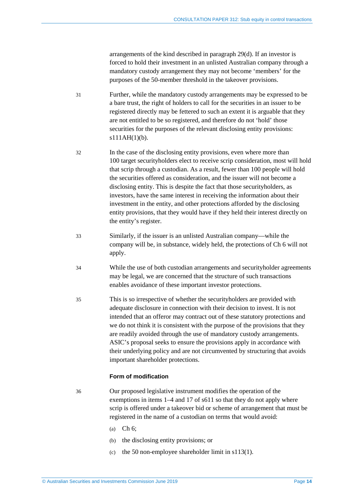arrangements of the kind described in paragraph [29\(d\).](#page-12-1) If an investor is forced to hold their investment in an unlisted Australian company through a mandatory custody arrangement they may not become 'members' for the purposes of the 50-member threshold in the takeover provisions.

- 31 Further, while the mandatory custody arrangements may be expressed to be a bare trust, the right of holders to call for the securities in an issuer to be registered directly may be fettered to such an extent it is arguable that they are not entitled to be so registered, and therefore do not 'hold' those securities for the purposes of the relevant disclosing entity provisions:  $s111AH(1)(b)$ .
- 32 In the case of the disclosing entity provisions, even where more than 100 target securityholders elect to receive scrip consideration, most will hold that scrip through a custodian. As a result, fewer than 100 people will hold the securities offered as consideration, and the issuer will not become a disclosing entity. This is despite the fact that those securityholders, as investors, have the same interest in receiving the information about their investment in the entity, and other protections afforded by the disclosing entity provisions, that they would have if they held their interest directly on the entity's register.
- 33 Similarly, if the issuer is an unlisted Australian company—while the company will be, in substance, widely held, the protections of Ch 6 will not apply.
- 34 While the use of both custodian arrangements and securityholder agreements may be legal, we are concerned that the structure of such transactions enables avoidance of these important investor protections.
- 35 This is so irrespective of whether the securityholders are provided with adequate disclosure in connection with their decision to invest. It is not intended that an offeror may contract out of these statutory protections and we do not think it is consistent with the purpose of the provisions that they are readily avoided through the use of mandatory custody arrangements. ASIC's proposal seeks to ensure the provisions apply in accordance with their underlying policy and are not circumvented by structuring that avoids important shareholder protections.

#### **Form of modification**

36 Our proposed legislative instrument modifies the operation of the exemptions in items 1–4 and 17 of s611 so that they do not apply where scrip is offered under a takeover bid or scheme of arrangement that must be registered in the name of a custodian on terms that would avoid:

- (a) Ch 6;
- (b) the disclosing entity provisions; or
- (c) the 50 non-employee shareholder limit in s113(1).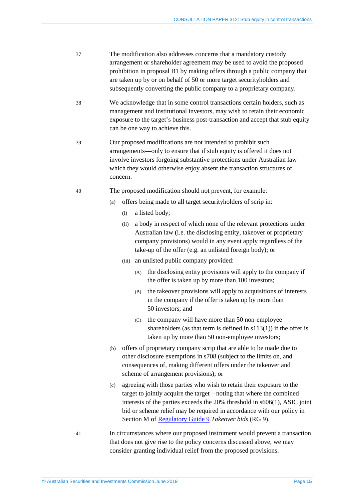- 37 The modification also addresses concerns that a mandatory custody arrangement or shareholder agreement may be used to avoid the proposed prohibition in proposal [B1](#page-7-2) by making offers through a public company that are taken up by or on behalf of 50 or more target securityholders and subsequently converting the public company to a proprietary company.
- 38 We acknowledge that in some control transactions certain holders, such as management and institutional investors, may wish to retain their economic exposure to the target's business post-transaction and accept that stub equity can be one way to achieve this.
- 39 Our proposed modifications are not intended to prohibit such arrangements—only to ensure that if stub equity is offered it does not involve investors forgoing substantive protections under Australian law which they would otherwise enjoy absent the transaction structures of concern.
- 40 The proposed modification should not prevent, for example:
	- (a) offers being made to all target securityholders of scrip in:
		- (i) a listed body;
		- (ii) a body in respect of which none of the relevant protections under Australian law (i.e. the disclosing entity, takeover or proprietary company provisions) would in any event apply regardless of the take-up of the offer (e.g. an unlisted foreign body); or
		- (iii) an unlisted public company provided:
			- (A) the disclosing entity provisions will apply to the company if the offer is taken up by more than 100 investors;
			- (B) the takeover provisions will apply to acquisitions of interests in the company if the offer is taken up by more than 50 investors; and
			- (C) the company will have more than 50 non-employee shareholders (as that term is defined in  $s113(1)$ ) if the offer is taken up by more than 50 non-employee investors;
	- (b) offers of proprietary company scrip that are able to be made due to other disclosure exemptions in s708 (subject to the limits on, and consequences of, making different offers under the takeover and scheme of arrangement provisions); or
	- (c) agreeing with those parties who wish to retain their exposure to the target to jointly acquire the target—noting that where the combined interests of the parties exceeds the 20% threshold in s606(1), ASIC joint bid or scheme relief may be required in accordance with our policy in Section M o[f Regulatory Guide 9](https://asic.gov.au/regulatory-resources/find-a-document/regulatory-guides/rg-9-takeover-bids/) *Takeover bids* (RG 9).
- 41 In circumstances where our proposed instrument would prevent a transaction that does not give rise to the policy concerns discussed above, we may consider granting individual relief from the proposed provisions.

© Australian Securities and Investments Commission June 2019 Page **15**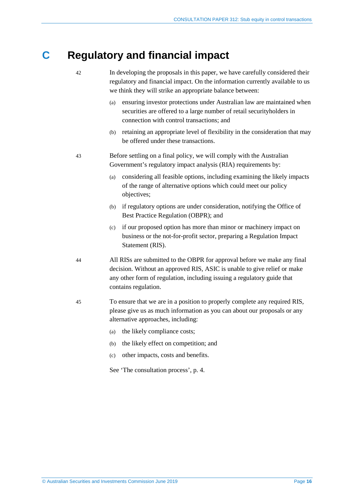## <span id="page-15-0"></span>**C Regulatory and financial impact**

- 42 In developing the proposals in this paper, we have carefully considered their regulatory and financial impact. On the information currently available to us we think they will strike an appropriate balance between:
	- (a) ensuring investor protections under Australian law are maintained when securities are offered to a large number of retail securityholders in connection with control transactions; and
	- (b) retaining an appropriate level of flexibility in the consideration that may be offered under these transactions.
- 43 Before settling on a final policy, we will comply with the Australian Government's regulatory impact analysis (RIA) requirements by:
	- (a) considering all feasible options, including examining the likely impacts of the range of alternative options which could meet our policy objectives;
	- (b) if regulatory options are under consideration, notifying the Office of Best Practice Regulation (OBPR); and
	- (c) if our proposed option has more than minor or machinery impact on business or the not-for-profit sector, preparing a Regulation Impact Statement (RIS).
- 44 All RISs are submitted to the OBPR for approval before we make any final decision. Without an approved RIS, ASIC is unable to give relief or make any other form of regulation, including issuing a regulatory guide that contains regulation.
- 45 To ensure that we are in a position to properly complete any required RIS, please give us as much information as you can about our proposals or any alternative approaches, including:
	- (a) the likely compliance costs;
	- (b) the likely effect on competition; and
	- (c) other impacts, costs and benefits.

See 'The consultation process', p. [4.](#page-3-1)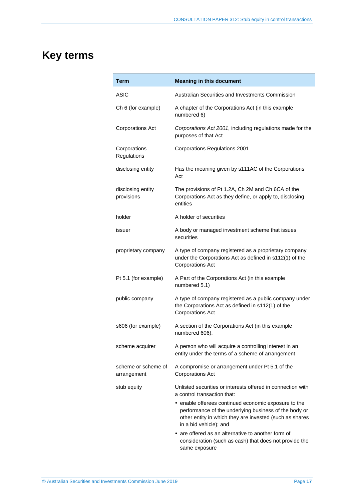## <span id="page-16-0"></span>**Key terms**

| <b>Term</b>                        | <b>Meaning in this document</b>                                                                                                                                                                    |  |  |  |
|------------------------------------|----------------------------------------------------------------------------------------------------------------------------------------------------------------------------------------------------|--|--|--|
| <b>ASIC</b>                        | Australian Securities and Investments Commission                                                                                                                                                   |  |  |  |
| Ch 6 (for example)                 | A chapter of the Corporations Act (in this example<br>numbered 6)                                                                                                                                  |  |  |  |
| <b>Corporations Act</b>            | Corporations Act 2001, including regulations made for the<br>purposes of that Act                                                                                                                  |  |  |  |
| Corporations<br>Regulations        | <b>Corporations Regulations 2001</b>                                                                                                                                                               |  |  |  |
| disclosing entity                  | Has the meaning given by s111AC of the Corporations<br>Act                                                                                                                                         |  |  |  |
| disclosing entity<br>provisions    | The provisions of Pt 1.2A, Ch 2M and Ch 6CA of the<br>Corporations Act as they define, or apply to, disclosing<br>entities                                                                         |  |  |  |
| holder                             | A holder of securities                                                                                                                                                                             |  |  |  |
| issuer                             | A body or managed investment scheme that issues<br>securities                                                                                                                                      |  |  |  |
| proprietary company                | A type of company registered as a proprietary company<br>under the Corporations Act as defined in s112(1) of the<br><b>Corporations Act</b>                                                        |  |  |  |
| Pt 5.1 (for example)               | A Part of the Corporations Act (in this example<br>numbered 5.1)                                                                                                                                   |  |  |  |
| public company                     | A type of company registered as a public company under<br>the Corporations Act as defined in s112(1) of the<br><b>Corporations Act</b>                                                             |  |  |  |
| s606 (for example)                 | A section of the Corporations Act (in this example<br>numbered 606).                                                                                                                               |  |  |  |
| scheme acquirer                    | A person who will acquire a controlling interest in an<br>entity under the terms of a scheme of arrangement                                                                                        |  |  |  |
| scheme or scheme of<br>arrangement | A compromise or arrangement under Pt 5.1 of the<br><b>Corporations Act</b>                                                                                                                         |  |  |  |
| stub equity                        | Unlisted securities or interests offered in connection with<br>a control transaction that:                                                                                                         |  |  |  |
|                                    | • enable offerees continued economic exposure to the<br>performance of the underlying business of the body or<br>other entity in which they are invested (such as shares<br>in a bid vehicle); and |  |  |  |
|                                    | • are offered as an alternative to another form of<br>consideration (such as cash) that does not provide the<br>same exposure                                                                      |  |  |  |